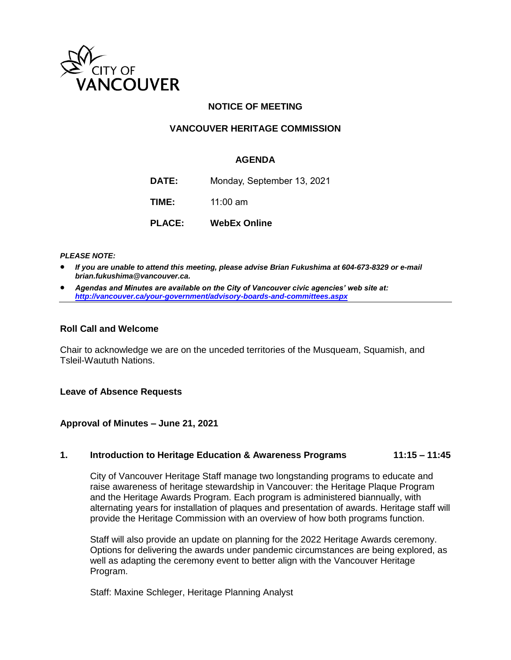

# **NOTICE OF MEETING**

# **VANCOUVER HERITAGE COMMISSION**

### **AGENDA**

**DATE:** Monday, September 13, 2021 **TIME:** 11:00 am

**PLACE: WebEx Online**

*PLEASE NOTE:*

- *If you are unable to attend this meeting, please advise Brian Fukushima at 604-673-8329 or e-mail brian.fukushima@vancouver.ca.*
- *Agendas and Minutes are available on the City of Vancouver civic agencies' web site at: <http://vancouver.ca/your-government/advisory-boards-and-committees.aspx>*

#### **Roll Call and Welcome**

Chair to acknowledge we are on the unceded territories of the Musqueam, Squamish, and Tsleil-Waututh Nations.

#### **Leave of Absence Requests**

#### **Approval of Minutes – June 21, 2021**

### **1. Introduction to Heritage Education & Awareness Programs 11:15 – 11:45**

City of Vancouver Heritage Staff manage two longstanding programs to educate and raise awareness of heritage stewardship in Vancouver: the Heritage Plaque Program and the Heritage Awards Program. Each program is administered biannually, with alternating years for installation of plaques and presentation of awards. Heritage staff will provide the Heritage Commission with an overview of how both programs function.

Staff will also provide an update on planning for the 2022 Heritage Awards ceremony. Options for delivering the awards under pandemic circumstances are being explored, as well as adapting the ceremony event to better align with the Vancouver Heritage Program.

Staff: Maxine Schleger, Heritage Planning Analyst